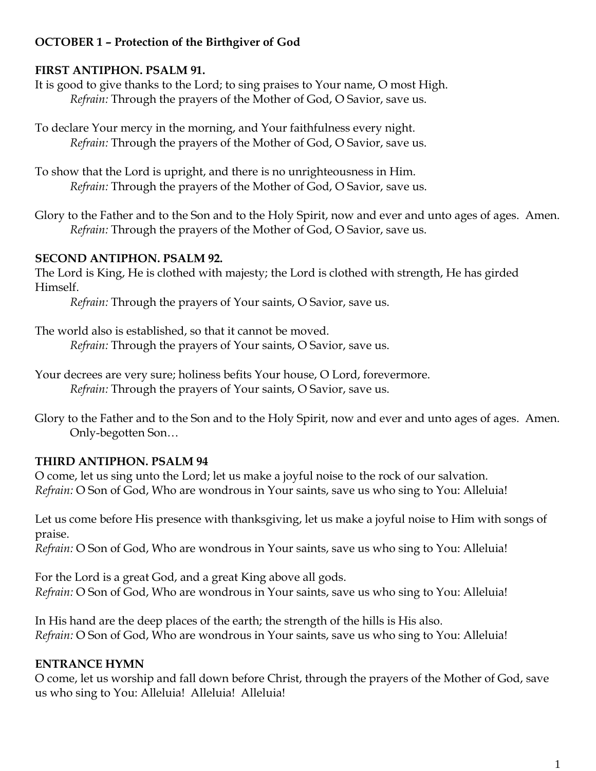# **OCTOBER 1 – Protection of the Birthgiver of God**

## **FIRST ANTIPHON. PSALM 91.**

It is good to give thanks to the Lord; to sing praises to Your name, O most High. *Refrain:* Through the prayers of the Mother of God, O Savior, save us.

To declare Your mercy in the morning, and Your faithfulness every night. *Refrain:* Through the prayers of the Mother of God, O Savior, save us.

To show that the Lord is upright, and there is no unrighteousness in Him. *Refrain:* Through the prayers of the Mother of God, O Savior, save us.

Glory to the Father and to the Son and to the Holy Spirit, now and ever and unto ages of ages. Amen. *Refrain:* Through the prayers of the Mother of God, O Savior, save us.

## **SECOND ANTIPHON. PSALM 92.**

The Lord is King, He is clothed with majesty; the Lord is clothed with strength, He has girded Himself.

*Refrain:* Through the prayers of Your saints, O Savior, save us.

The world also is established, so that it cannot be moved. *Refrain:* Through the prayers of Your saints, O Savior, save us.

Your decrees are very sure; holiness befits Your house, O Lord, forevermore. *Refrain:* Through the prayers of Your saints, O Savior, save us.

Glory to the Father and to the Son and to the Holy Spirit, now and ever and unto ages of ages. Amen. Only-begotten Son…

# **THIRD ANTIPHON. PSALM 94**

O come, let us sing unto the Lord; let us make a joyful noise to the rock of our salvation. *Refrain:* O Son of God, Who are wondrous in Your saints, save us who sing to You: Alleluia!

Let us come before His presence with thanksgiving, let us make a joyful noise to Him with songs of praise.

*Refrain:* O Son of God, Who are wondrous in Your saints, save us who sing to You: Alleluia!

For the Lord is a great God, and a great King above all gods. *Refrain:* O Son of God, Who are wondrous in Your saints, save us who sing to You: Alleluia!

In His hand are the deep places of the earth; the strength of the hills is His also. *Refrain:* O Son of God, Who are wondrous in Your saints, save us who sing to You: Alleluia!

# **ENTRANCE HYMN**

O come, let us worship and fall down before Christ, through the prayers of the Mother of God, save us who sing to You: Alleluia! Alleluia! Alleluia!